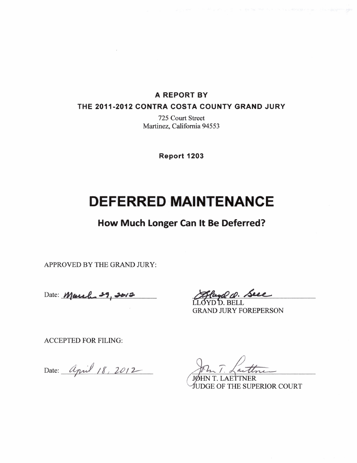### **A REPORT BY**

### **THE 2011-2012 CONTRA COSTA COUNTY GRAND JURY**

**725 Court Street Martinez, California 94553** 

**Report 1203** 

# **DEFERRED MAINTENANCE**

**How Much Longer Can It Be Deferred?** 

**APPROVED BY THE GRAND JURY:** 

Date: *March 29, 201* 

D. BELL **GRAND JURY FOREPERSON** 

**ACCEPTED FOR FILING:** 

Date: *April 18, 2012* 

**LAE?TNER DGE OF THE SUPERIOR COURT**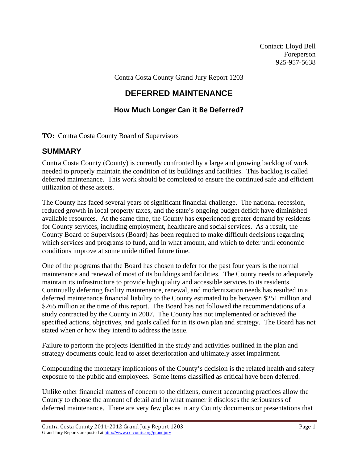Contact: Lloyd Bell Foreperson 925-957-5638

Contra Costa County Grand Jury Report 1203

# **DEFERRED MAINTENANCE**

## **How Much Longer Can it Be Deferred?**

**TO:** Contra Costa County Board of Supervisors

### **SUMMARY**

Contra Costa County (County) is currently confronted by a large and growing backlog of work needed to properly maintain the condition of its buildings and facilities. This backlog is called deferred maintenance. This work should be completed to ensure the continued safe and efficient utilization of these assets.

The County has faced several years of significant financial challenge. The national recession, reduced growth in local property taxes, and the state's ongoing budget deficit have diminished available resources. At the same time, the County has experienced greater demand by residents for County services, including employment, healthcare and social services. As a result, the County Board of Supervisors (Board) has been required to make difficult decisions regarding which services and programs to fund, and in what amount, and which to defer until economic conditions improve at some unidentified future time.

One of the programs that the Board has chosen to defer for the past four years is the normal maintenance and renewal of most of its buildings and facilities. The County needs to adequately maintain its infrastructure to provide high quality and accessible services to its residents. Continually deferring facility maintenance, renewal, and modernization needs has resulted in a deferred maintenance financial liability to the County estimated to be between \$251 million and \$265 million at the time of this report. The Board has not followed the recommendations of a study contracted by the County in 2007. The County has not implemented or achieved the specified actions, objectives, and goals called for in its own plan and strategy. The Board has not stated when or how they intend to address the issue.

Failure to perform the projects identified in the study and activities outlined in the plan and strategy documents could lead to asset deterioration and ultimately asset impairment.

Compounding the monetary implications of the County's decision is the related health and safety exposure to the public and employees. Some items classified as critical have been deferred.

Unlike other financial matters of concern to the citizens, current accounting practices allow the County to choose the amount of detail and in what manner it discloses the seriousness of deferred maintenance. There are very few places in any County documents or presentations that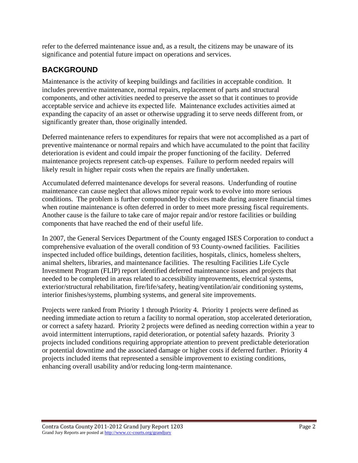refer to the deferred maintenance issue and, as a result, the citizens may be unaware of its significance and potential future impact on operations and services.

# **BACKGROUND**

Maintenance is the activity of keeping buildings and facilities in acceptable condition. It includes preventive maintenance, normal repairs, replacement of parts and structural components, and other activities needed to preserve the asset so that it continues to provide acceptable service and achieve its expected life. Maintenance excludes activities aimed at expanding the capacity of an asset or otherwise upgrading it to serve needs different from, or significantly greater than, those originally intended.

Deferred maintenance refers to expenditures for repairs that were not accomplished as a part of preventive maintenance or normal repairs and which have accumulated to the point that facility deterioration is evident and could impair the proper functioning of the facility. Deferred maintenance projects represent catch-up expenses. Failure to perform needed repairs will likely result in higher repair costs when the repairs are finally undertaken.

Accumulated deferred maintenance develops for several reasons. Underfunding of routine maintenance can cause neglect that allows minor repair work to evolve into more serious conditions. The problem is further compounded by choices made during austere financial times when routine maintenance is often deferred in order to meet more pressing fiscal requirements. Another cause is the failure to take care of major repair and/or restore facilities or building components that have reached the end of their useful life.

In 2007, the General Services Department of the County engaged ISES Corporation to conduct a comprehensive evaluation of the overall condition of 93 County-owned facilities. Facilities inspected included office buildings, detention facilities, hospitals, clinics, homeless shelters, animal shelters, libraries, and maintenance facilities. The resulting Facilities Life Cycle Investment Program (FLIP) report identified deferred maintenance issues and projects that needed to be completed in areas related to accessibility improvements, electrical systems, exterior/structural rehabilitation, fire/life/safety, heating/ventilation/air conditioning systems, interior finishes/systems, plumbing systems, and general site improvements.

Projects were ranked from Priority 1 through Priority 4. Priority 1 projects were defined as needing immediate action to return a facility to normal operation, stop accelerated deterioration, or correct a safety hazard. Priority 2 projects were defined as needing correction within a year to avoid intermittent interruptions, rapid deterioration, or potential safety hazards. Priority 3 projects included conditions requiring appropriate attention to prevent predictable deterioration or potential downtime and the associated damage or higher costs if deferred further. Priority 4 projects included items that represented a sensible improvement to existing conditions, enhancing overall usability and/or reducing long-term maintenance.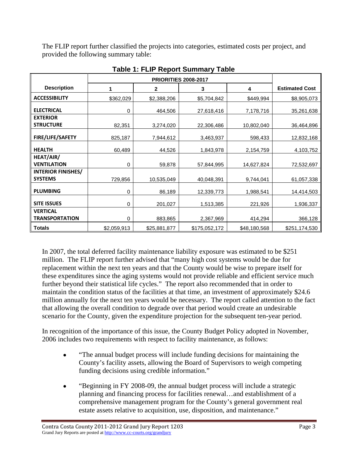The FLIP report further classified the projects into categories, estimated costs per project, and provided the following summary table:

| <b>Description</b>                          | 1           | $\mathbf{2}$ | 3             | 4            | <b>Estimated Cost</b> |
|---------------------------------------------|-------------|--------------|---------------|--------------|-----------------------|
| <b>ACCESSIBILITY</b>                        | \$362,029   | \$2,388,206  | \$5,704,842   | \$449,994    | \$8,905,073           |
| <b>ELECTRICAL</b>                           | 0           | 464,506      | 27,618,416    | 7,178,716    | 35,261,638            |
| <b>EXTERIOR</b><br><b>STRUCTURE</b>         | 82,351      | 3,274,020    | 22,306,486    | 10,802,040   | 36,464,896            |
| FIRE/LIFE/SAFETY                            | 825,187     | 7,944,612    | 3,463,937     | 598,433      | 12,832,168            |
| <b>HEALTH</b>                               | 60,489      | 44,526       | 1,843,978     | 2,154,759    | 4,103,752             |
| HEAT/AIR/<br><b>VENTILATION</b>             | 0           | 59,878       | 57,844,995    | 14,627,824   | 72,532,697            |
| <b>INTERIOR FINISHES/</b><br><b>SYSTEMS</b> | 729,856     | 10,535,049   | 40,048,391    | 9,744,041    | 61,057,338            |
| <b>PLUMBING</b>                             | 0           | 86,189       | 12,339,773    | 1,988,541    | 14,414,503            |
| <b>SITE ISSUES</b>                          | 0           | 201,027      | 1,513,385     | 221,926      | 1,936,337             |
| <b>VERTICAL</b><br><b>TRANSPORTATION</b>    | 0           | 883,865      | 2,367,969     | 414,294      | 366,128               |
| <b>Totals</b>                               | \$2,059,913 | \$25,881,877 | \$175,052,172 | \$48,180,568 | \$251,174,530         |

**Table 1: FLIP Report Summary Table** 

In 2007, the total deferred facility maintenance liability exposure was estimated to be \$251 million. The FLIP report further advised that "many high cost systems would be due for replacement within the next ten years and that the County would be wise to prepare itself for these expenditures since the aging systems would not provide reliable and efficient service much further beyond their statistical life cycles." The report also recommended that in order to maintain the condition status of the facilities at that time, an investment of approximately \$24.6 million annually for the next ten years would be necessary. The report called attention to the fact that allowing the overall condition to degrade over that period would create an undesirable scenario for the County, given the expenditure projection for the subsequent ten-year period.

In recognition of the importance of this issue, the County Budget Policy adopted in November, 2006 includes two requirements with respect to facility maintenance, as follows:

- "The annual budget process will include funding decisions for maintaining the County's facility assets, allowing the Board of Supervisors to weigh competing funding decisions using credible information."
- "Beginning in FY 2008-09, the annual budget process will include a strategic planning and financing process for facilities renewal…and establishment of a comprehensive management program for the County's general government real estate assets relative to acquisition, use, disposition, and maintenance."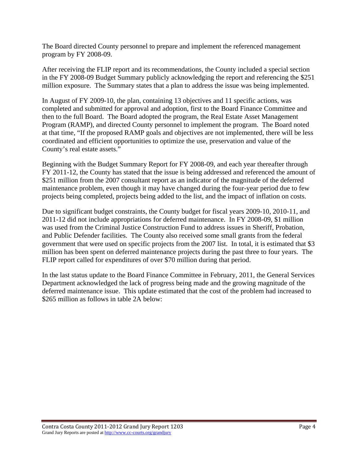The Board directed County personnel to prepare and implement the referenced management program by FY 2008-09.

After receiving the FLIP report and its recommendations, the County included a special section in the FY 2008-09 Budget Summary publicly acknowledging the report and referencing the \$251 million exposure. The Summary states that a plan to address the issue was being implemented.

In August of FY 2009-10, the plan, containing 13 objectives and 11 specific actions, was completed and submitted for approval and adoption, first to the Board Finance Committee and then to the full Board. The Board adopted the program, the Real Estate Asset Management Program (RAMP), and directed County personnel to implement the program. The Board noted at that time, "If the proposed RAMP goals and objectives are not implemented, there will be less coordinated and efficient opportunities to optimize the use, preservation and value of the County's real estate assets."

Beginning with the Budget Summary Report for FY 2008-09, and each year thereafter through FY 2011-12, the County has stated that the issue is being addressed and referenced the amount of \$251 million from the 2007 consultant report as an indicator of the magnitude of the deferred maintenance problem, even though it may have changed during the four-year period due to few projects being completed, projects being added to the list, and the impact of inflation on costs.

Due to significant budget constraints, the County budget for fiscal years 2009-10, 2010-11, and 2011-12 did not include appropriations for deferred maintenance. In FY 2008-09, \$1 million was used from the Criminal Justice Construction Fund to address issues in Sheriff, Probation, and Public Defender facilities. The County also received some small grants from the federal government that were used on specific projects from the 2007 list. In total, it is estimated that \$3 million has been spent on deferred maintenance projects during the past three to four years. The FLIP report called for expenditures of over \$70 million during that period.

In the last status update to the Board Finance Committee in February, 2011, the General Services Department acknowledged the lack of progress being made and the growing magnitude of the deferred maintenance issue. This update estimated that the cost of the problem had increased to \$265 million as follows in table 2A below: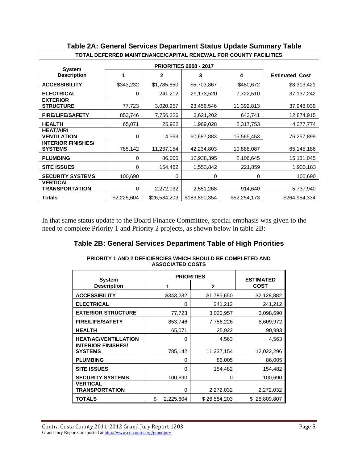| TOTAL DEFERRED MAINTENANCE/CAPITAL RENEWAL FOR COUNTY FACILITIES |             |              |               |              |                       |  |  |
|------------------------------------------------------------------|-------------|--------------|---------------|--------------|-----------------------|--|--|
|                                                                  |             |              |               |              |                       |  |  |
| <b>System</b><br><b>Description</b>                              | 1           | $\mathbf{2}$ | 3             | 4            | <b>Estimated Cost</b> |  |  |
| <b>ACCESSIBILITY</b>                                             | \$343,232   | \$1,785,650  | \$5,703,867   | \$480,672    | \$8,313,421           |  |  |
| <b>ELECTRICAL</b>                                                | 0           | 241,212      | 29,173,520    | 7,722,510    | 37, 137, 242          |  |  |
| <b>EXTERIOR</b><br><b>STRUCTURE</b>                              | 77,723      | 3,020,957    | 23,456,546    | 11,392,813   | 37,948,039            |  |  |
| <b>FIRE/LIFE/SAFETY</b>                                          | 853,746     | 7,756,226    | 3,621,202     | 643,741      | 12,874,915            |  |  |
| <b>HEALTH</b>                                                    | 65,071      | 25,922       | 1,969,028     | 2,317,753    | 4,377,774             |  |  |
| <b>HEAT/AIR/</b><br><b>VENTILATION</b>                           | 0           | 4,563        | 60,687,883    | 15,565,453   | 76,257,899            |  |  |
| <b>INTERIOR FINISHES/</b><br><b>SYSTEMS</b>                      | 785,142     | 11,237,154   | 42,234,803    | 10,888,087   | 65,145,186            |  |  |
| <b>PLUMBING</b>                                                  | 0           | 86,005       | 12,938,395    | 2,106,645    | 15, 131, 045          |  |  |
| <b>SITE ISSUES</b>                                               | 0           | 154,482      | 1,553,842     | 221,859      | 1,930,183             |  |  |
| <b>SECURITY SYSTEMS</b>                                          | 100,690     | 0            | 0             | 0            | 100,690               |  |  |
| <b>VERTICAL</b><br><b>TRANSPORTATION</b>                         | 0           | 2,272,032    | 2,551,268     | 914,640      | 5,737,940             |  |  |
| <b>Totals</b>                                                    | \$2,225,604 | \$26,584,203 | \$183,890,354 | \$52,254,173 | \$264,954,334         |  |  |

# **Table 2A: General Services Department Status Update Summary Table**

In that same status update to the Board Finance Committee, special emphasis was given to the need to complete Priority 1 and Priority 2 projects, as shown below in table 2B:

### **Table 2B: General Services Department Table of High Priorities**

| AUUUUIATLU UUUTU                            |    |                   |                  |                  |  |  |  |  |  |
|---------------------------------------------|----|-------------------|------------------|------------------|--|--|--|--|--|
| <b>System</b>                               |    | <b>PRIORITIES</b> | <b>ESTIMATED</b> |                  |  |  |  |  |  |
| <b>Description</b>                          |    |                   | $\mathbf{2}$     | <b>COST</b>      |  |  |  |  |  |
| <b>ACCESSIBILITY</b>                        |    | \$343,232         | \$1,785,650      | \$2,128,882      |  |  |  |  |  |
| <b>ELECTRICAL</b>                           |    | 0                 | 241,212          | 241,212          |  |  |  |  |  |
| <b>EXTERIOR STRUCTURE</b>                   |    | 77,723            | 3,020,957        | 3,098,690        |  |  |  |  |  |
| <b>FIRE/LIFE/SAFETY</b>                     |    | 853,746           | 7,756,226        | 8,609,972        |  |  |  |  |  |
| <b>HEALTH</b>                               |    | 65,071            | 25,922           | 90,993           |  |  |  |  |  |
| <b>HEAT/AC/VENTILLATION</b>                 |    | 0                 | 4,563            | 4,563            |  |  |  |  |  |
| <b>INTERIOR FINISHES/</b><br><b>SYSTEMS</b> |    | 785,142           | 11,237,154       | 12,022,296       |  |  |  |  |  |
| <b>PLUMBING</b>                             |    | 0                 | 86,005           | 86,005           |  |  |  |  |  |
| <b>SITE ISSUES</b>                          |    | 0                 | 154,482          | 154,482          |  |  |  |  |  |
| <b>SECURITY SYSTEMS</b>                     |    | 100,690           | 0                | 100,690          |  |  |  |  |  |
| <b>VERTICAL</b><br>TRANSPORTATION           |    | 0                 | 2,272,032        | 2,272,032        |  |  |  |  |  |
| TOTALS                                      | \$ | 2,225,604         | \$26,584,203     | 28,809,807<br>\$ |  |  |  |  |  |

**PRIORITY 1 AND 2 DEFICIENCIES WHICH SHOULD BE COMPLETED AND ASSOCIATED COSTS**